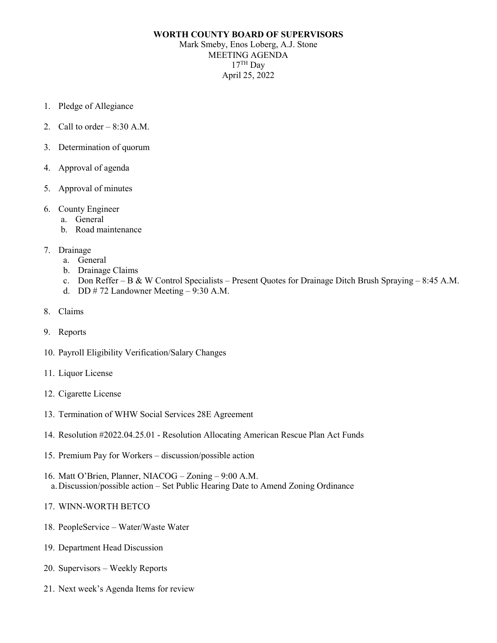## **WORTH COUNTY BOARD OF SUPERVISORS** Mark Smeby, Enos Loberg, A.J. Stone MEETING AGENDA  $17<sup>TH</sup>$  Day April 25, 2022

- 1. Pledge of Allegiance
- 2. Call to order  $-8:30$  A.M.
- 3. Determination of quorum
- 4. Approval of agenda
- 5. Approval of minutes
- 6. County Engineer
	- a. General
	- b. Road maintenance
- 7. Drainage
	- a. General
	- b. Drainage Claims
	- c. Don Reffer B & W Control Specialists Present Quotes for Drainage Ditch Brush Spraying 8:45 A.M.
	- d. DD # 72 Landowner Meeting 9:30 A.M.
- 8. Claims
- 9. Reports
- 10. Payroll Eligibility Verification/Salary Changes
- 11. Liquor License
- 12. Cigarette License
- 13. Termination of WHW Social Services 28E Agreement
- 14. Resolution #2022.04.25.01 Resolution Allocating American Rescue Plan Act Funds
- 15. Premium Pay for Workers discussion/possible action
- 16. Matt O'Brien, Planner, NIACOG Zoning 9:00 A.M. a.Discussion/possible action – Set Public Hearing Date to Amend Zoning Ordinance
- 17. WINN-WORTH BETCO
- 18. PeopleService Water/Waste Water
- 19. Department Head Discussion
- 20. Supervisors Weekly Reports
- 21. Next week's Agenda Items for review